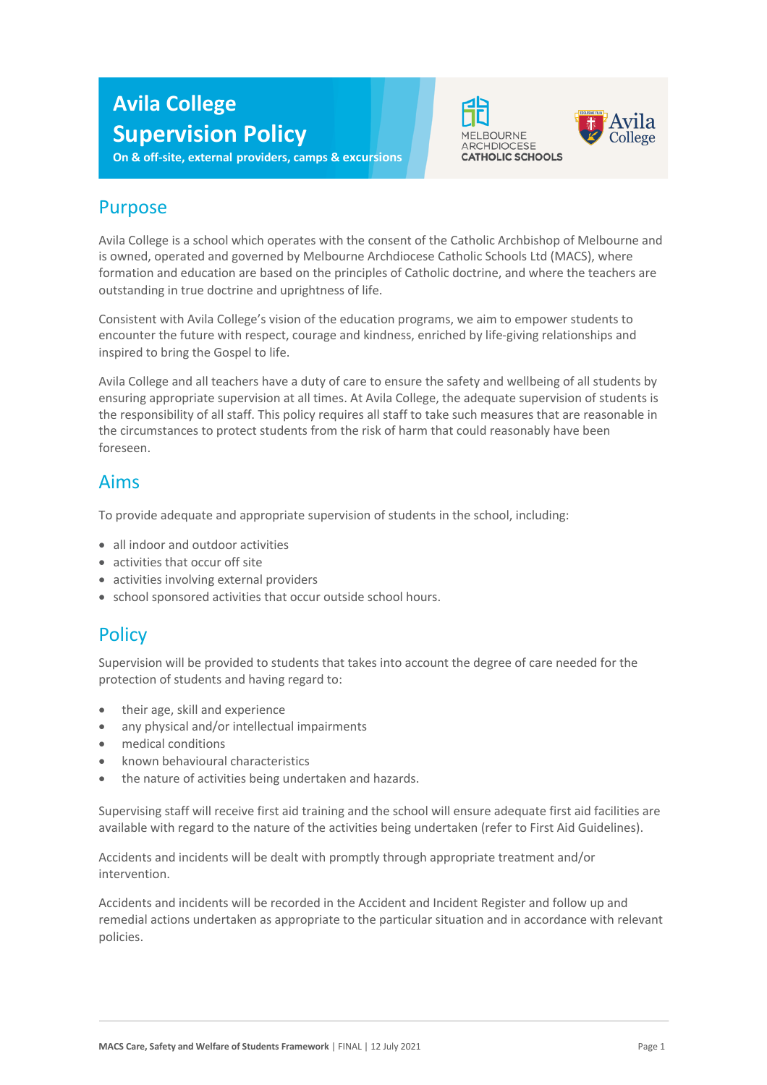# **Avila College Supervision Policy**

**On & off-site, external providers, camps & excursions**





#### Purpose

Avila College is a school which operates with the consent of the Catholic Archbishop of Melbourne and is owned, operated and governed by Melbourne Archdiocese Catholic Schools Ltd (MACS), where formation and education are based on the principles of Catholic doctrine, and where the teachers are outstanding in true doctrine and uprightness of life.

Consistent with Avila College's vision of the education programs, we aim to empower students to encounter the future with respect, courage and kindness, enriched by life-giving relationships and inspired to bring the Gospel to life.

Avila College and all teachers have a duty of care to ensure the safety and wellbeing of all students by ensuring appropriate supervision at all times. At Avila College, the adequate supervision of students is the responsibility of all staff. This policy requires all staff to take such measures that are reasonable in the circumstances to protect students from the risk of harm that could reasonably have been foreseen.

#### Aims

To provide adequate and appropriate supervision of students in the school, including:

- all indoor and outdoor activities
- activities that occur off site
- activities involving external providers
- school sponsored activities that occur outside school hours.

#### **Policy**

Supervision will be provided to students that takes into account the degree of care needed for the protection of students and having regard to:

- their age, skill and experience
- any physical and/or intellectual impairments
- medical conditions
- known behavioural characteristics
- the nature of activities being undertaken and hazards.

Supervising staff will receive first aid training and the school will ensure adequate first aid facilities are available with regard to the nature of the activities being undertaken (refer to First Aid Guidelines).

Accidents and incidents will be dealt with promptly through appropriate treatment and/or intervention.

Accidents and incidents will be recorded in the Accident and Incident Register and follow up and remedial actions undertaken as appropriate to the particular situation and in accordance with relevant policies.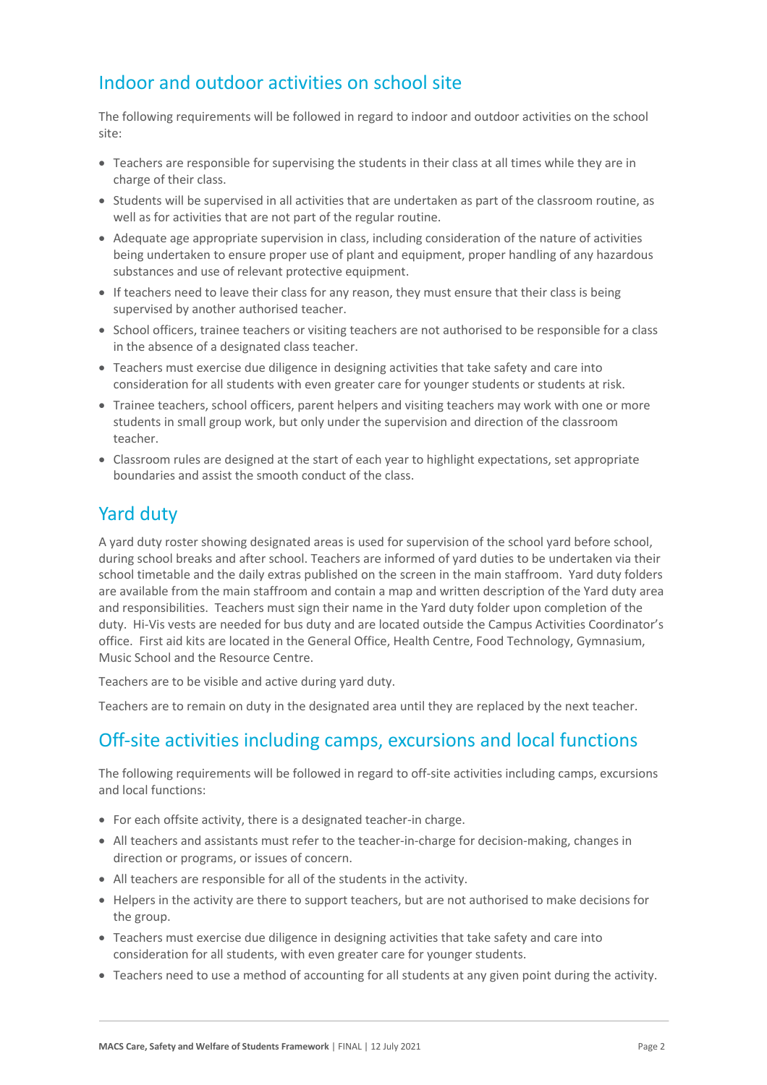## Indoor and outdoor activities on school site

The following requirements will be followed in regard to indoor and outdoor activities on the school site:

- Teachers are responsible for supervising the students in their class at all times while they are in charge of their class.
- Students will be supervised in all activities that are undertaken as part of the classroom routine, as well as for activities that are not part of the regular routine.
- Adequate age appropriate supervision in class, including consideration of the nature of activities being undertaken to ensure proper use of plant and equipment, proper handling of any hazardous substances and use of relevant protective equipment.
- If teachers need to leave their class for any reason, they must ensure that their class is being supervised by another authorised teacher.
- School officers, trainee teachers or visiting teachers are not authorised to be responsible for a class in the absence of a designated class teacher.
- Teachers must exercise due diligence in designing activities that take safety and care into consideration for all students with even greater care for younger students or students at risk.
- Trainee teachers, school officers, parent helpers and visiting teachers may work with one or more students in small group work, but only under the supervision and direction of the classroom teacher.
- Classroom rules are designed at the start of each year to highlight expectations, set appropriate boundaries and assist the smooth conduct of the class.

## Yard duty

A yard duty roster showing designated areas is used for supervision of the school yard before school, during school breaks and after school. Teachers are informed of yard duties to be undertaken via their school timetable and the daily extras published on the screen in the main staffroom. Yard duty folders are available from the main staffroom and contain a map and written description of the Yard duty area and responsibilities. Teachers must sign their name in the Yard duty folder upon completion of the duty. Hi-Vis vests are needed for bus duty and are located outside the Campus Activities Coordinator's office. First aid kits are located in the General Office, Health Centre, Food Technology, Gymnasium, Music School and the Resource Centre.

Teachers are to be visible and active during yard duty.

Teachers are to remain on duty in the designated area until they are replaced by the next teacher.

### Off-site activities including camps, excursions and local functions

The following requirements will be followed in regard to off-site activities including camps, excursions and local functions:

- For each offsite activity, there is a designated teacher-in charge.
- All teachers and assistants must refer to the teacher-in-charge for decision-making, changes in direction or programs, or issues of concern.
- All teachers are responsible for all of the students in the activity.
- Helpers in the activity are there to support teachers, but are not authorised to make decisions for the group.
- Teachers must exercise due diligence in designing activities that take safety and care into consideration for all students, with even greater care for younger students.
- Teachers need to use a method of accounting for all students at any given point during the activity.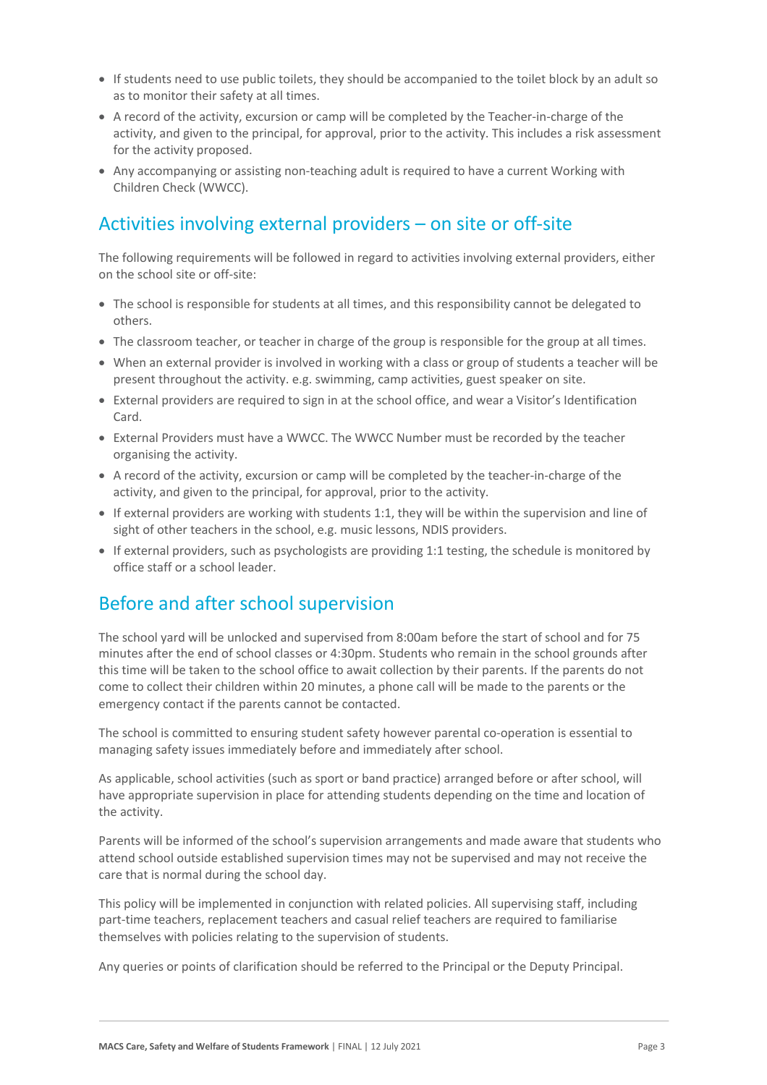- If students need to use public toilets, they should be accompanied to the toilet block by an adult so as to monitor their safety at all times.
- A record of the activity, excursion or camp will be completed by the Teacher-in-charge of the activity, and given to the principal, for approval, prior to the activity. This includes a risk assessment for the activity proposed.
- Any accompanying or assisting non-teaching adult is required to have a current Working with Children Check (WWCC).

# Activities involving external providers – on site or off-site

The following requirements will be followed in regard to activities involving external providers, either on the school site or off-site:

- The school is responsible for students at all times, and this responsibility cannot be delegated to others.
- The classroom teacher, or teacher in charge of the group is responsible for the group at all times.
- When an external provider is involved in working with a class or group of students a teacher will be present throughout the activity. e.g. swimming, camp activities, guest speaker on site.
- External providers are required to sign in at the school office, and wear a Visitor's Identification Card.
- External Providers must have a WWCC. The WWCC Number must be recorded by the teacher organising the activity.
- A record of the activity, excursion or camp will be completed by the teacher-in-charge of the activity, and given to the principal, for approval, prior to the activity.
- If external providers are working with students 1:1, they will be within the supervision and line of sight of other teachers in the school, e.g. music lessons, NDIS providers.
- If external providers, such as psychologists are providing 1:1 testing, the schedule is monitored by office staff or a school leader.

## Before and after school supervision

The school yard will be unlocked and supervised from 8:00am before the start of school and for 75 minutes after the end of school classes or 4:30pm. Students who remain in the school grounds after this time will be taken to the school office to await collection by their parents. If the parents do not come to collect their children within 20 minutes, a phone call will be made to the parents or the emergency contact if the parents cannot be contacted.

The school is committed to ensuring student safety however parental co-operation is essential to managing safety issues immediately before and immediately after school.

As applicable, school activities (such as sport or band practice) arranged before or after school, will have appropriate supervision in place for attending students depending on the time and location of the activity.

Parents will be informed of the school's supervision arrangements and made aware that students who attend school outside established supervision times may not be supervised and may not receive the care that is normal during the school day.

This policy will be implemented in conjunction with related policies. All supervising staff, including part-time teachers, replacement teachers and casual relief teachers are required to familiarise themselves with policies relating to the supervision of students.

Any queries or points of clarification should be referred to the Principal or the Deputy Principal.